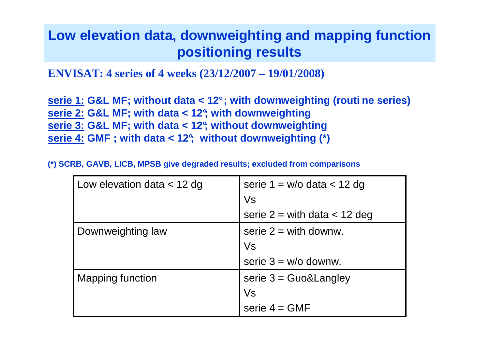# **Low elevation data, downweighting and mapping functionpositioning results**

**ENVISAT: 4 series of 4 weeks (23/12/2007 – 19/01/2008)**

**serie 1: G&L MF; without data < 12° ; with downweighting (routi ne series) serie 2: G&L MF; with data < 12°; with downweighting serie 3: G&L MF; with data < 12°; without downweightingserie 4: GMF ; with data < 12°; without downweighting (\*)**

**(\*) SCRB, GAVB, LICB, MPSB give degraded results; excluded from comparisons**

| Low elevation data < 12 dg | serie 1 = $w/o$ data $<$ 12 dg   |  |  |  |  |
|----------------------------|----------------------------------|--|--|--|--|
|                            | Vs                               |  |  |  |  |
|                            | serie $2 =$ with data $<$ 12 deg |  |  |  |  |
| Downweighting law          | serie $2 =$ with downw.          |  |  |  |  |
|                            | Vs                               |  |  |  |  |
|                            | serie $3 = w/o$ downw.           |  |  |  |  |
| Mapping function           | serie $3 = Guo&Language$         |  |  |  |  |
|                            | Vs                               |  |  |  |  |
|                            | serie $4 = GMF$                  |  |  |  |  |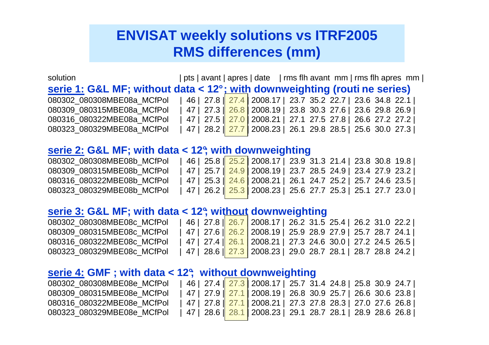# **ENVISAT weekly solutions vs ITRF2005RMS differences (mm)**

solution | pts | avant | apres | date | rms flh avant mm | rms flh apres mm | **serie 1: G&L MF; without data < 12° ; with downweighting (routi ne series)** 080302 080308MBE08a MCfPol | 46 | 27.8  $\sqrt{27.4}$  2008.17 | 23.7 35.2 22.7 | 23.6 34.8 22.1 | 080309 080315MBE08a MCfPol | 47 | 27.3  $\vert$  26.8 | 2008.19 | 23.8 30.3 27.6 | 23.6 29.8 26.9 | 080316 080322MBE08a MCfPol | 47 | 27.5 | 27.0 | 2008.21 | 27.1 27.5 27.8 | 26.6 27.2 27.2 | 080323 080329MBE08a MCfPol | 47 | 28.2  $\sqrt{27.7}$  2008.23 | 26.1 29.8 28.5 | 25.6 30.0 27.3 |

### **serie 2: G&L MF; with data < 12°; with downweighting**

| 080302 080308MBE08b MCfPol | 46   25.8    25.2   2008.17   23.9 31.3 21.4   23.8 30.8 19.8 |  |  |  |  |
|----------------------------|---------------------------------------------------------------|--|--|--|--|
| 080309 080315MBE08b MCfPol | 47   25.7   24.9   2008.19   23.7 28.5 24.9   23.4 27.9 23.2  |  |  |  |  |
| 080316 080322MBE08b MCfPol | 47   25.3    24.6   2008.21   26.1 24.7 25.2   25.7 24.6 23.5 |  |  |  |  |
| 080323 080329MBE08b MCfPol | 47   26.2   25.3   2008.23   25.6 27.7 25.3   25.1 27.7 23.0  |  |  |  |  |

#### **serie 3: G&L MF; with data < 12°; without downweighting**

| 080302 080308MBE08c MCfPol | 46   27.8   26.7   2008.17   26.2 31.5 25.4   26.2 31.0 22.2                      |  |  |  |  |
|----------------------------|-----------------------------------------------------------------------------------|--|--|--|--|
| 080309 080315MBE08c MCfPol | _47   27.6    <mark>26.2  </mark> 2008.19    25.9  28.9  27.9    25.7  28.7  24.1 |  |  |  |  |
| 080316 080322MBE08c MCfPol | 47   27.4    <mark>26.1  </mark> 2008.21   27.3 24.6 30.0   27.2 24.5 26.5        |  |  |  |  |
| 080323 080329MBE08c MCfPol | 47   28.6    <mark>27.3</mark>   2008.23   29.0 28.7 28.1   28.7 28.8 24.2        |  |  |  |  |

### **serie 4: GMF ; with data < 12°; without downweighting**

| 080302 080308MBE08e MCfPol | 46   27.4   27.3   2008.17   25.7 31.4 24.8   25.8 30.9 24.7 |  |  |  |  |
|----------------------------|--------------------------------------------------------------|--|--|--|--|
| 080309 080315MBE08e MCfPol | 47   27.9   27.1   2008.19   26.8 30.9 25.7   26.6 30.6 23.8 |  |  |  |  |
| 080316 080322MBE08e MCfPol | 47   27.8   27.1   2008.21   27.3 27.8 28.3   27.0 27.6 26.8 |  |  |  |  |
| 080323 080329MBE08e MCfPol | 47   28.6   28.1   2008.23   29.1 28.7 28.1   28.9 28.6 26.8 |  |  |  |  |